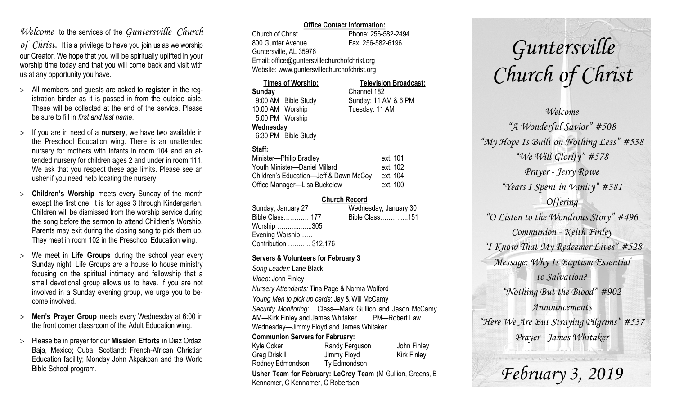## *Welcome* to the services of the *Guntersville Church*

*of Christ*. It is a privilege to have you join us as we worship our Creator. We hope that you will be spiritually uplifted in your worship time today and that you will come back and visit with us at any opportunity you have.

- All members and guests are asked to **register** in the registration binder as it is passed in from the outside aisle. These will be collected at the end of the service. Please be sure to fill in *first and last name*.
- $>$  If you are in need of a **nursery**, we have two available in the Preschool Education wing. There is an unattended nursery for mothers with infants in room 104 and an attended nursery for children ages 2 and under in room 111. We ask that you respect these age limits. Please see an usher if you need help locating the nursery.
- **Children's Worship** meets every Sunday of the month except the first one. It is for ages 3 through Kindergarten. Children will be dismissed from the worship service during the song before the sermon to attend Children's Worship. Parents may exit during the closing song to pick them up. They meet in room 102 in the Preschool Education wing.
- We meet in **Life Groups** during the school year every Sunday night. Life Groups are a house to house ministry focusing on the spiritual intimacy and fellowship that a small devotional group allows us to have. If you are not involved in a Sunday evening group, we urge you to become involved.
- **Men's Prayer Group** meets every Wednesday at 6:00 in the front corner classroom of the Adult Education wing.
- Please be in prayer for our **Mission Efforts** in Diaz Ordaz, Baja, Mexico; Cuba; Scotland: French-African Christian Education facility; Monday John Akpakpan and the World Bible School program.

#### **Office Contact Information:**

Church of Christ Phone: 256-582-2494 800 Gunter Avenue Fax: 256-582-6196 Guntersville, AL 35976 Email: office@guntersvillechurchofchrist.org Website: www.guntersvillechurchofchrist.org

| <b>Times of Worship:</b> |                     | <b>Television Broadcast:</b> |  |
|--------------------------|---------------------|------------------------------|--|
| Sunday                   |                     | Channel 182                  |  |
|                          | 9:00 AM Bible Study | Sunday: 11 AM & 6 PM         |  |
| 10:00 AM Worship         |                     | Tuesday: 11 AM               |  |
| 5:00 PM Worship          |                     |                              |  |
| Wednesday                |                     |                              |  |
|                          | 6:30 PM Bible Study |                              |  |

## **Staff:**

| Minister-Philip Bradley                | ext. 101 |
|----------------------------------------|----------|
| Youth Minister-Daniel Millard          | ext. 102 |
| Children's Education-Jeff & Dawn McCoy | ext. 104 |
| Office Manager-Lisa Buckelew           | ext. 100 |

## **Church Record**

| Wednesday, January 30            |
|----------------------------------|
| Bible Class177<br>Bible Class151 |
| Worship 305                      |
|                                  |
| Contribution  \$12,176           |
|                                  |

## **Servers & Volunteers for February 3**

*Song Leader:* Lane Black *Video*: John Finley *Nursery Attendants:* Tina Page & Norma Wolford *Young Men to pick up cards*: Jay & Will McCamy *Security Monitoring*: Class—Mark Gullion and Jason McCamy AM—Kirk Finley and James Whitaker PM—Robert Law Wednesday—Jimmy Floyd and James Whitaker **Communion Servers for February:** 

| Kyle Coker                                                 | Randy Ferguson | John Finley        |  |  |
|------------------------------------------------------------|----------------|--------------------|--|--|
| <b>Greg Driskill</b>                                       | Jimmy Floyd    | <b>Kirk Finley</b> |  |  |
| Rodney Edmondson                                           | Ty Edmondson   |                    |  |  |
| Usher Team for February: LeCroy Team (M Gullion, Greens, B |                |                    |  |  |
| Kennamer, C Kennamer, C Robertson                          |                |                    |  |  |

# *Guntersville Church of Christ*

*Welcome "A Wonderful Savior" #508 "My Hope Is Built on Nothing Less" #538 "We Will Glorify" #578 Prayer - Jerry Rowe "Years I Spent in Vanity" #381 Offering "O Listen to the Wondrous Story" #496 Communion - Keith Finley "I Know That My Redeemer Lives" #528 Message: Why Is Baptism Essential to Salvation? "Nothing But the Blood" #902 Announcements "Here We Are But Straying Pilgrims" #537 Prayer - James Whitaker*

*February 3, 2019*